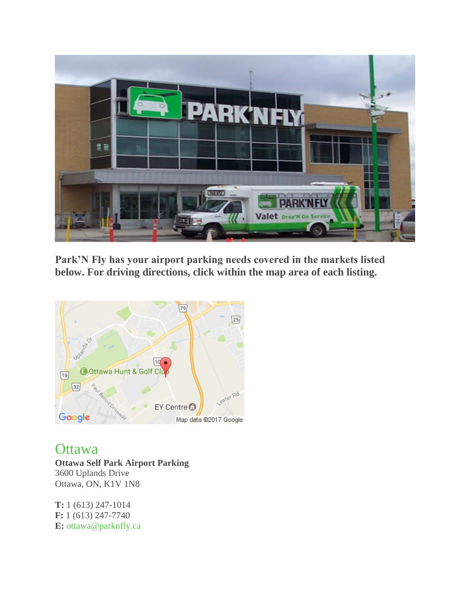

**Park'N Fly has your airport parking needs covered in the markets listed below. For driving directions, click within the map area of each listing.**



**[Ottawa](https://www.parknfly.ca/Location/Ottawa-Airport-Parking.aspx) Ottawa Self Park Airport Parking** 3600 Uplands Drive Ottawa, ON, K1V 1N8

**T:** 1 (613) 247-1014 **F:** 1 (613) 247-7740 **E:** [ottawa@parknfly.ca](mailto:ottawa@parknfly.ca)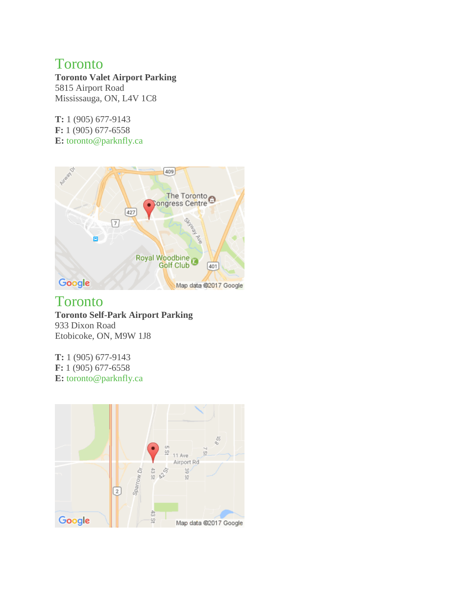#### **[Toronto](https://www.parknfly.ca/Location/Toronto-Airport-Parking.aspx)**

**Toronto Valet Airport Parking** 5815 Airport Road Mississauga, ON, L4V 1C8

**T:** 1 (905) 677-9143 **F:** 1 (905) 677-6558 **E:** [toronto@parknfly.ca](mailto:toronto@parknfly.ca)



#### **[Toronto](https://www.parknfly.ca/Location/Toronto-Airport-Parking.aspx)**

**Toronto Self-Park Airport Parking** 933 Dixon Road Etobicoke, ON, M9W 1J8

**T:** 1 (905) 677-9143 **F:** 1 (905) 677-6558 **E:** [toronto@parknfly.ca](mailto:toronto@parknfly.ca)

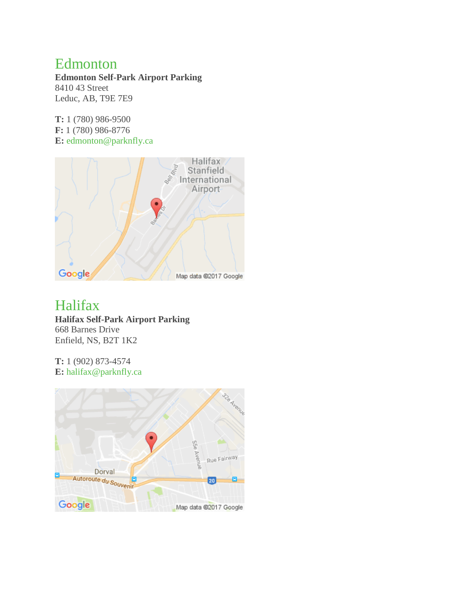#### [Edmonton](https://www.parknfly.ca/Location/Edmonton-Airport-Parking.aspx)

**Edmonton Self-Park Airport Parking** 8410 43 Street Leduc, AB, T9E 7E9

**T:** 1 (780) 986-9500 **F:** 1 (780) 986-8776 **E:** [edmonton@parknfly.ca](mailto:edmonton@parknfly.ca)



### [Halifax](https://www.parknfly.ca/Location/Halifax-Airport-Parking.aspx)

**Halifax Self-Park Airport Parking** 668 Barnes Drive Enfield, NS, B2T 1K2

**T:** 1 (902) 873-4574 **E:** [halifax@parknfly.ca](mailto:halifax@parknfly.ca)

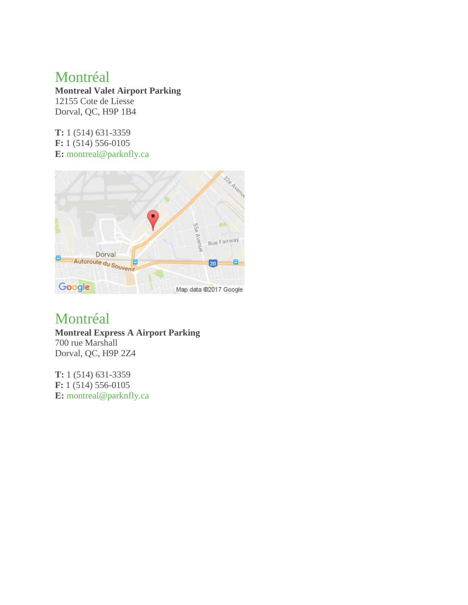#### [Montréal](https://www.parknfly.ca/Location/Montreal-Airport-Parking.aspx)

**Montreal Valet Airport Parking** 12155 Cote de Liesse Dorval, QC, H9P 1B4

**T:** 1 (514) 631-3359 **F:** 1 (514) 556-0105 **E:** [montreal@parknfly.ca](mailto:montreal@parknfly.ca)



#### [Montréal](https://www.parknfly.ca/Location/Montreal-Airport-Parking.aspx)

**Montreal Express A Airport Parking** 700 rue Marshall Dorval, QC, H9P 2Z4

**T:** 1 (514) 631-3359 **F:** 1 (514) 556-0105 **E:** [montreal@parknfly.ca](mailto:montreal@parknfly.ca)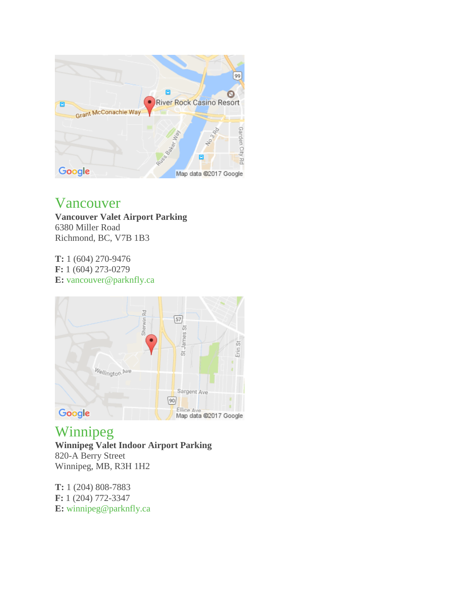

#### [Vancouver](https://www.parknfly.ca/Location/Vancouver-Airport-Parking.aspx)

**Vancouver Valet Airport Parking** 6380 Miller Road Richmond, BC, V7B 1B3

**T:** 1 (604) 270-9476 **F:** 1 (604) 273-0279 **E:** [vancouver@parknfly.ca](mailto:vancouver@parknfly.ca)



## [Winnipeg](https://www.parknfly.ca/Location/Winnipeg-Airport-Parking.aspx)

**Winnipeg Valet Indoor Airport Parking** 820-A Berry Street Winnipeg, MB, R3H 1H2

**T:** 1 (204) 808-7883 **F:** 1 (204) 772-3347 **E:** [winnipeg@parknfly.ca](mailto:winnipeg@parknfly.ca)